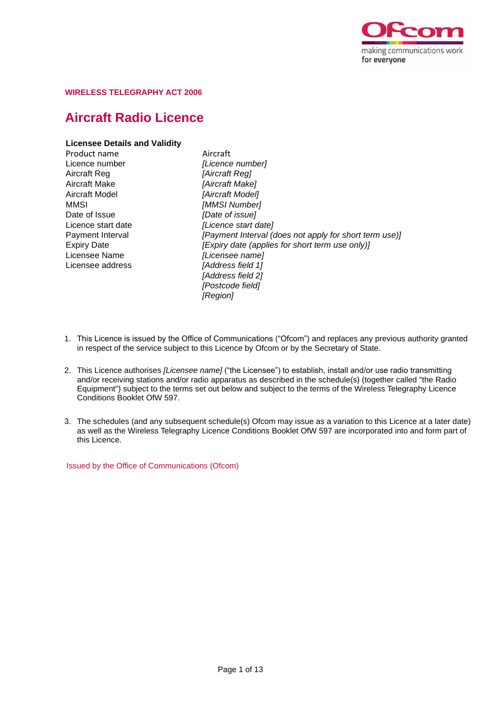

## **WIRELESS TELEGRAPHY ACT 2006**

# **Aircraft Radio Licence**

# **Licensee Details and Validity**

Product name **Aircraft**<br>
Licence number **Alicence** Licence number *[Licence number]* Aircraft Make *[Aircraft Make]* Aircraft Model *[Aircraft Model]* MMSI *[MMSI Number]* Date of Issue *[Date of issue]* Licensee Name *[Licensee name]* Licensee address *[Address field 1]*

Aircraft Reg *[Aircraft Reg]* Licence start date *[Licence start date]* Payment Interval *[Payment Interval (does not apply for short term use)]* Expiry Date *[Expiry date (applies for short term use only)] [Address field 2] [Postcode field] [Region]*

- 1. This Licence is issued by the Office of Communications ("Ofcom") and replaces any previous authority granted in respect of the service subject to this Licence by Ofcom or by the Secretary of State.
- 2. This Licence authorises *[Licensee name]* ("the Licensee") to establish, install and/or use radio transmitting and/or receiving stations and/or radio apparatus as described in the schedule(s) (together called "the Radio Equipment") subject to the terms set out below and subject to the terms of the Wireless Telegraphy Licence Conditions Booklet OfW 597.
- 3. The schedules (and any subsequent schedule(s) Ofcom may issue as a variation to this Licence at a later date) as well as the Wireless Telegraphy Licence Conditions Booklet OfW 597 are incorporated into and form part of this Licence.

Issued by the Office of Communications (Ofcom)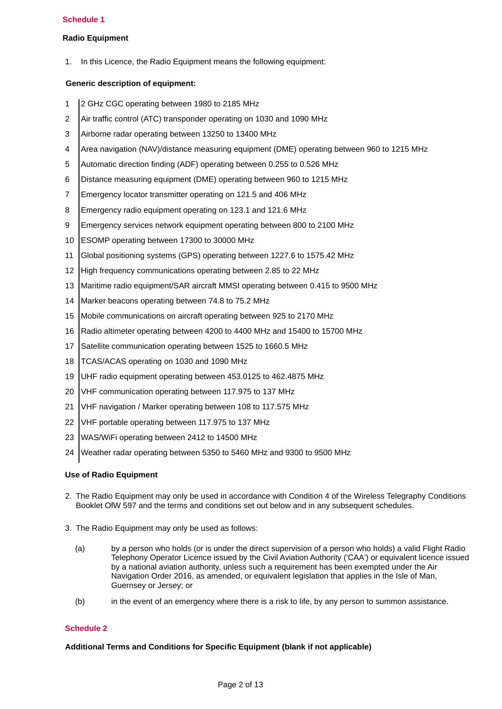## **Schedule 1**

## **Radio Equipment**

1. In this Licence, the Radio Equipment means the following equipment:

# **Generic description of equipment:**

- 1 2 GHz CGC operating between 1980 to 2185 MHz
- 2 Air traffic control (ATC) transponder operating on 1030 and 1090 MHz
- 3 Airborne radar operating between 13250 to 13400 MHz
- 4 Area navigation (NAV)/distance measuring equipment (DME) operating between 960 to 1215 MHz
- 5 Automatic direction finding (ADF) operating between 0.255 to 0.526 MHz
- 6 Distance measuring equipment (DME) operating between 960 to 1215 MHz
- 7 Emergency locator transmitter operating on 121.5 and 406 MHz
- 8 Emergency radio equipment operating on 123.1 and 121.6 MHz
- 9 Emergency services network equipment operating between 800 to 2100 MHz
- 10 ESOMP operating between 17300 to 30000 MHz
- 11 Global positioning systems (GPS) operating between 1227.6 to 1575.42 MHz
- 12 High frequency communications operating between 2.85 to 22 MHz
- 13 Maritime radio equipment/SAR aircraft MMSI operating between 0.415 to 9500 MHz
- 14 Marker beacons operating between 74.8 to 75.2 MHz
- 15 Mobile communications on aircraft operating between 925 to 2170 MHz
- 16 Radio altimeter operating between 4200 to 4400 MHz and 15400 to 15700 MHz
- 17 Satellite communication operating between 1525 to 1660.5 MHz
- 18 TCAS/ACAS operating on 1030 and 1090 MHz
- 19 UHF radio equipment operating between 453.0125 to 462.4875 MHz
- 20 VHF communication operating between 117.975 to 137 MHz
- 21 VHF navigation / Marker operating between 108 to 117.575 MHz
- 22 VHF portable operating between 117.975 to 137 MHz
- 23 WAS/WiFi operating between 2412 to 14500 MHz
- 24 Weather radar operating between 5350 to 5460 MHz and 9300 to 9500 MHz

#### **Use of Radio Equipment**

- 2. The Radio Equipment may only be used in accordance with Condition 4 of the Wireless Telegraphy Conditions Booklet OfW 597 and the terms and conditions set out below and in any subsequent schedules.
- 3. The Radio Equipment may only be used as follows:
	- (a) by a person who holds (or is under the direct supervision of a person who holds) a valid Flight Radio Telephony Operator Licence issued by the Civil Aviation Authority ('CAA') or equivalent licence issued by a national aviation authority, unless such a requirement has been exempted under the Air Navigation Order 2016, as amended, or equivalent legislation that applies in the Isle of Man, Guernsey or Jersey; or
	- (b) in the event of an emergency where there is a risk to life, by any person to summon assistance.

#### **Schedule 2**

#### **Additional Terms and Conditions for Specific Equipment (blank if not applicable)**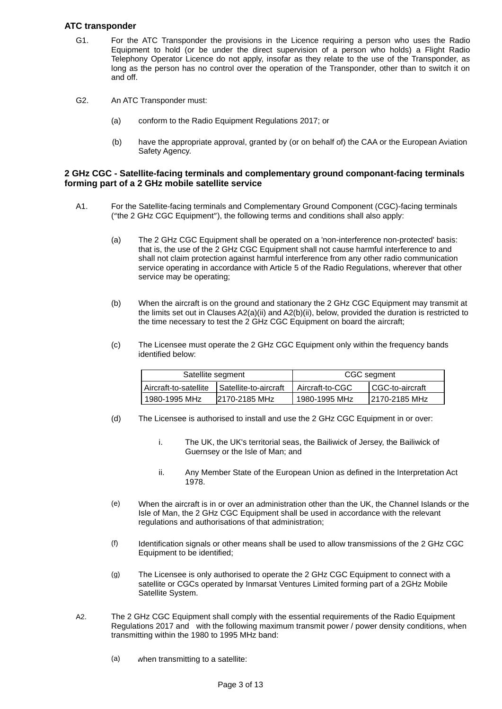## **ATC transponder**

- For the ATC Transponder the provisions in the Licence requiring a person who uses the Radio Equipment to hold (or be under the direct supervision of a person who holds) a Flight Radio Telephony Operator Licence do not apply, insofar as they relate to the use of the Transponder, as long as the person has no control over the operation of the Transponder, other than to switch it on and off. G1.
- An ATC Transponder must: G2.
	- conform to the Radio Equipment Regulations 2017; or (a)
	- have the appropriate approval, granted by (or on behalf of) the CAA or the European Aviation Safety Agency. (b)

## **2 GHz CGC - Satellite-facing terminals and complementary ground componant-facing terminals forming part of a 2 GHz mobile satellite service**

- For the Satellite-facing terminals and Complementary Ground Component (CGC)-facing terminals ("the 2 GHz CGC Equipment"), the following terms and conditions shall also apply: A1.
	- (a) The 2 GHz CGC Equipment shall be operated on a 'non-interference non-protected' basis: that is, the use of the 2 GHz CGC Equipment shall not cause harmful interference to and shall not claim protection against harmful interference from any other radio communication service operating in accordance with Article 5 of the Radio Regulations, wherever that other service may be operating;
	- (b) When the aircraft is on the ground and stationary the 2 GHz CGC Equipment may transmit at the limits set out in Clauses A2(a)(ii) and A2(b)(ii), below, provided the duration is restricted to the time necessary to test the 2 GHz CGC Equipment on board the aircraft;
	- (c) The Licensee must operate the 2 GHz CGC Equipment only within the frequency bands identified below:

| Satellite segment     |                              | CGC segment     |                   |
|-----------------------|------------------------------|-----------------|-------------------|
| Aircraft-to-satellite | <b>Satellite-to-aircraft</b> | Aircraft-to-CGC | I CGC-to-aircraft |
| 1980-1995 MHz         | 2170-2185 MHz                | 1980-1995 MHz   | 12170-2185 MHz    |

- (d) The Licensee is authorised to install and use the 2 GHz CGC Equipment in or over:
	- The UK, the UK's territorial seas, the Bailiwick of Jersey, the Bailiwick of Guernsey or the Isle of Man; and i.
	- ii. Any Member State of the European Union as defined in the Interpretation Act 1978.
- (e) When the aircraft is in or over an administration other than the UK, the Channel Islands or the Isle of Man, the 2 GHz CGC Equipment shall be used in accordance with the relevant regulations and authorisations of that administration;
- (f) Identification signals or other means shall be used to allow transmissions of the 2 GHz CGC Equipment to be identified;
- (g) The Licensee is only authorised to operate the 2 GHz CGC Equipment to connect with a satellite or CGCs operated by Inmarsat Ventures Limited forming part of a 2GHz Mobile Satellite System.
- A2. The 2 GHz CGC Equipment shall comply with the essential requirements of the Radio Equipment Regulations 2017 and with the following maximum transmit power / power density conditions, when transmitting within the 1980 to 1995 MHz band:
	- (a) when transmitting to a satellite: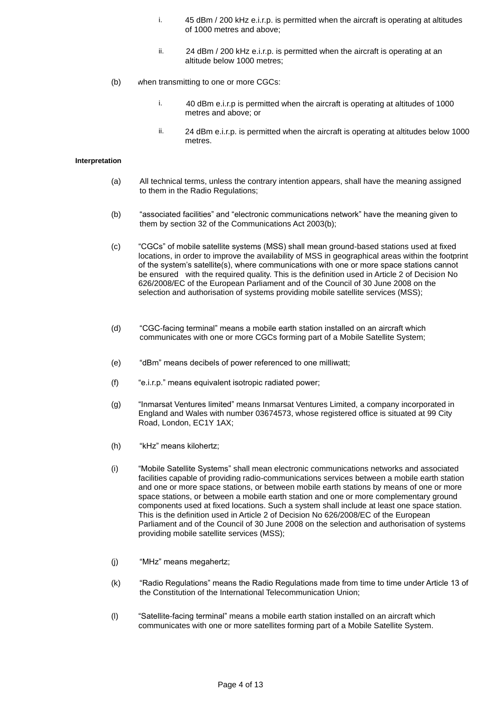- 45 dBm / 200 kHz e.i.r.p. is permitted when the aircraft is operating at altitudes of 1000 metres and above; i.
- ii. 24 dBm / 200 kHz e.i.r.p. is permitted when the aircraft is operating at an altitude below 1000 metres;
- (b) when transmitting to one or more CGCs:
	- 40 dBm e.i.r.p is permitted when the aircraft is operating at altitudes of 1000 metres and above; or i.
	- ii. 24 dBm e.i.r.p. is permitted when the aircraft is operating at altitudes below 1000 metres.

- (a) All technical terms, unless the contrary intention appears, shall have the meaning assigned to them in the Radio Regulations;
- (b) "associated facilities" and "electronic communications network" have the meaning given to them by section 32 of the Communications Act 2003(b);
- (c) "CGCs" of mobile satellite systems (MSS) shall mean ground-based stations used at fixed locations, in order to improve the availability of MSS in geographical areas within the footprint of the system's satellite(s), where communications with one or more space stations cannot be ensured with the required quality. This is the definition used in Article 2 of Decision No 626/2008/EC of the European Parliament and of the Council of 30 June 2008 on the selection and authorisation of systems providing mobile satellite services (MSS);
- (d) "CGC-facing terminal" means a mobile earth station installed on an aircraft which communicates with one or more CGCs forming part of a Mobile Satellite System;
- (e) "dBm" means decibels of power referenced to one milliwatt;
- (f) "e.i.r.p." means equivalent isotropic radiated power;
- (g) "Inmarsat Ventures limited" means Inmarsat Ventures Limited, a company incorporated in England and Wales with number 03674573, whose registered office is situated at 99 City Road, London, EC1Y 1AX;
- (h) "kHz" means kilohertz;
- (i) "Mobile Satellite Systems" shall mean electronic communications networks and associated facilities capable of providing radio-communications services between a mobile earth station and one or more space stations, or between mobile earth stations by means of one or more space stations, or between a mobile earth station and one or more complementary ground components used at fixed locations. Such a system shall include at least one space station. This is the definition used in Article 2 of Decision No 626/2008/EC of the European Parliament and of the Council of 30 June 2008 on the selection and authorisation of systems providing mobile satellite services (MSS);
- (j) "MHz" means megahertz;
- (k) "Radio Regulations" means the Radio Regulations made from time to time under Article 13 of the Constitution of the International Telecommunication Union;
- "Satellite-facing terminal" means a mobile earth station installed on an aircraft which communicates with one or more satellites forming part of a Mobile Satellite System. (l)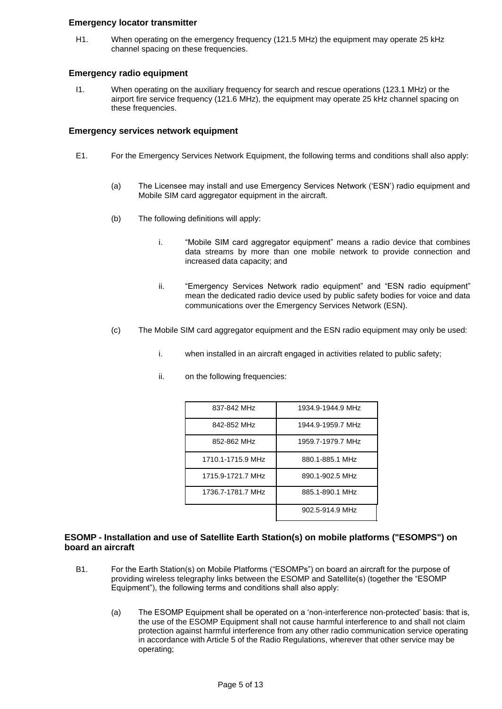## **Emergency locator transmitter**

When operating on the emergency frequency (121.5 MHz) the equipment may operate 25 kHz channel spacing on these frequencies. H1.

## **Emergency radio equipment**

When operating on the auxiliary frequency for search and rescue operations (123.1 MHz) or the airport fire service frequency (121.6 MHz), the equipment may operate 25 kHz channel spacing on these frequencies. I1.

## **Emergency services network equipment**

- E1. For the Emergency Services Network Equipment, the following terms and conditions shall also apply:
	- The Licensee may install and use Emergency Services Network ('ESN') radio equipment and Mobile SIM card aggregator equipment in the aircraft. (a)
	- (b) The following definitions will apply:
		- "Mobile SIM card aggregator equipment" means a radio device that combines data streams by more than one mobile network to provide connection and increased data capacity; and i.
		- ii. "Emergency Services Network radio equipment" and "ESN radio equipment" mean the dedicated radio device used by public safety bodies for voice and data communications over the Emergency Services Network (ESN).
	- (c) The Mobile SIM card aggregator equipment and the ESN radio equipment may only be used:
		- i. when installed in an aircraft engaged in activities related to public safety;
		- ii. on the following frequencies:

| 837-842 MHz       | 1934.9-1944.9 MHz |
|-------------------|-------------------|
| 842-852 MHz       | 1944.9-1959.7 MHz |
| 852-862 MHz       | 1959.7-1979.7 MHz |
| 1710.1-1715.9 MHz | 880.1-885.1 MHz   |
| 1715.9-1721.7 MHz | 890.1-902.5 MHz   |
| 1736.7-1781.7 MHz | 885.1-890.1 MHz   |
|                   | 902.5-914.9 MHz   |

## **ESOMP - Installation and use of Satellite Earth Station(s) on mobile platforms ("ESOMPS") on board an aircraft**

- For the Earth Station(s) on Mobile Platforms ("ESOMPs") on board an aircraft for the purpose of providing wireless telegraphy links between the ESOMP and Satellite(s) (together the "ESOMP Equipment"), the following terms and conditions shall also apply: B1.
	- (a) The ESOMP Equipment shall be operated on a 'non-interference non-protected' basis: that is, the use of the ESOMP Equipment shall not cause harmful interference to and shall not claim protection against harmful interference from any other radio communication service operating in accordance with Article 5 of the Radio Regulations, wherever that other service may be operating;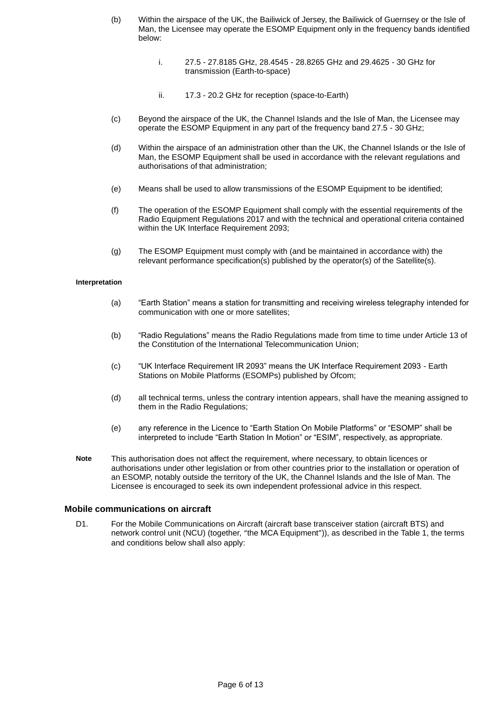- (b) Within the airspace of the UK, the Bailiwick of Jersey, the Bailiwick of Guernsey or the Isle of Man, the Licensee may operate the ESOMP Equipment only in the frequency bands identified below:
	- 27.5 27.8185 GHz, 28.4545 28.8265 GHz and 29.4625 30 GHz for transmission (Earth-to-space) i.
	- 17.3 20.2 GHz for reception (space-to-Earth) ii.
- (c) Beyond the airspace of the UK, the Channel Islands and the Isle of Man, the Licensee may operate the ESOMP Equipment in any part of the frequency band 27.5 - 30 GHz;
- (d) Within the airspace of an administration other than the UK, the Channel Islands or the Isle of Man, the ESOMP Equipment shall be used in accordance with the relevant regulations and authorisations of that administration;
- (e) Means shall be used to allow transmissions of the ESOMP Equipment to be identified;
- (f) The operation of the ESOMP Equipment shall comply with the essential requirements of the Radio Equipment Regulations 2017 and with the technical and operational criteria contained within the UK Interface Requirement 2093;
- The ESOMP Equipment must comply with (and be maintained in accordance with) the relevant performance specification(s) published by the operator(s) of the Satellite(s). (g)

- "Earth Station" means a station for transmitting and receiving wireless telegraphy intended for communication with one or more satellites; (a)
- (b) "Radio Regulations" means the Radio Regulations made from time to time under Article 13 of the Constitution of the International Telecommunication Union;
- (c) "UK Interface Requirement IR 2093" means the UK Interface Requirement 2093 - Earth Stations on Mobile Platforms (ESOMPs) published by Ofcom;
- (d) all technical terms, unless the contrary intention appears, shall have the meaning assigned to them in the Radio Regulations;
- any reference in the Licence to "Earth Station On Mobile Platforms" or "ESOMP" shall be interpreted to include "Earth Station In Motion" or "ESIM", respectively, as appropriate. (e)
- This authorisation does not affect the requirement, where necessary, to obtain licences or authorisations under other legislation or from other countries prior to the installation or operation of an ESOMP, notably outside the territory of the UK, the Channel Islands and the Isle of Man. The Licensee is encouraged to seek its own independent professional advice in this respect. **Note**

#### **Mobile communications on aircraft**

For the Mobile Communications on Aircraft (aircraft base transceiver station (aircraft BTS) and network control unit (NCU) (together, "the MCA Equipment")), as described in the Table 1, the terms and conditions below shall also apply:  $D1$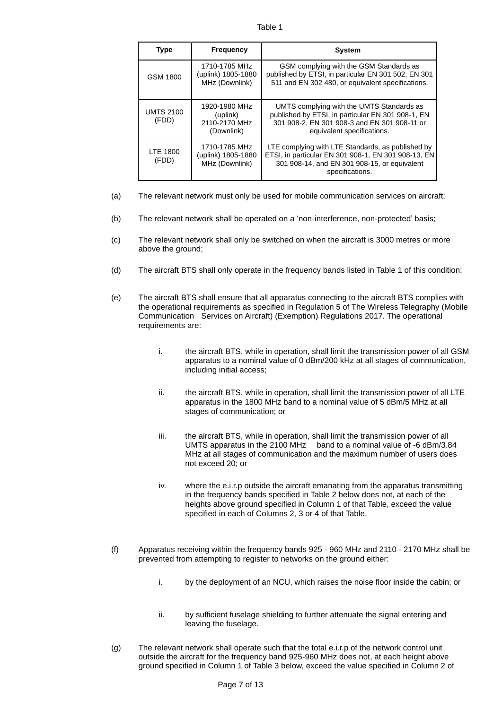#### Table 1

| <b>Type</b>               | <b>Frequency</b>                                         | <b>System</b>                                                                                                                                                                |
|---------------------------|----------------------------------------------------------|------------------------------------------------------------------------------------------------------------------------------------------------------------------------------|
| <b>GSM 1800</b>           | 1710-1785 MHz<br>(uplink) 1805-1880<br>MHz (Downlink)    | GSM complying with the GSM Standards as<br>published by ETSI, in particular EN 301 502, EN 301<br>511 and EN 302 480, or equivalent specifications.                          |
| <b>UMTS 2100</b><br>(FDD) | 1920-1980 MHz<br>(uplink)<br>2110-2170 MHz<br>(Downlink) | UMTS complying with the UMTS Standards as<br>published by ETSI, in particular EN 301 908-1, EN<br>301 908-2, EN 301 908-3 and EN 301 908-11 or<br>equivalent specifications. |
| LTE 1800<br>(FDD)         | 1710-1785 MHz<br>(uplink) 1805-1880<br>MHz (Downlink)    | LTE complying with LTE Standards, as published by<br>ETSI, in particular EN 301 908-1, EN 301 908-13, EN<br>301 908-14, and EN 301 908-15, or equivalent<br>specifications.  |

- (a) The relevant network must only be used for mobile communication services on aircraft;
- (b) The relevant network shall be operated on a 'non-interference, non-protected' basis;
- (c) The relevant network shall only be switched on when the aircraft is 3000 metres or more above the ground;
- (d) The aircraft BTS shall only operate in the frequency bands listed in Table 1 of this condition;
- The aircraft BTS shall ensure that all apparatus connecting to the aircraft BTS complies with the operational requirements as specified in Regulation 5 of The Wireless Telegraphy (Mobile Communication Services on Aircraft) (Exemption) Regulations 2017. The operational requirements are: (e)
	- the aircraft BTS, while in operation, shall limit the transmission power of all GSM apparatus to a nominal value of 0 dBm/200 kHz at all stages of communication, including initial access; i.
	- the aircraft BTS, while in operation, shall limit the transmission power of all LTE apparatus in the 1800 MHz band to a nominal value of 5 dBm/5 MHz at all stages of communication; or ii.
	- the aircraft BTS, while in operation, shall limit the transmission power of all UMTS apparatus in the 2100 MHz band to a nominal value of -6 dBm/3.84 MHz at all stages of communication and the maximum number of users does not exceed 20; or iii.
	- where the e.i.r.p outside the aircraft emanating from the apparatus transmitting in the frequency bands specified in Table 2 below does not, at each of the heights above ground specified in Column 1 of that Table, exceed the value specified in each of Columns 2, 3 or 4 of that Table. iv.
- (f) Apparatus receiving within the frequency bands 925 - 960 MHz and 2110 - 2170 MHz shall be prevented from attempting to register to networks on the ground either:
	- by the deployment of an NCU, which raises the noise floor inside the cabin; or i.
	- by sufficient fuselage shielding to further attenuate the signal entering and leaving the fuselage. ii.
- (g) The relevant network shall operate such that the total e.i.r.p of the network control unit outside the aircraft for the frequency band 925-960 MHz does not, at each height above ground specified in Column 1 of Table 3 below, exceed the value specified in Column 2 of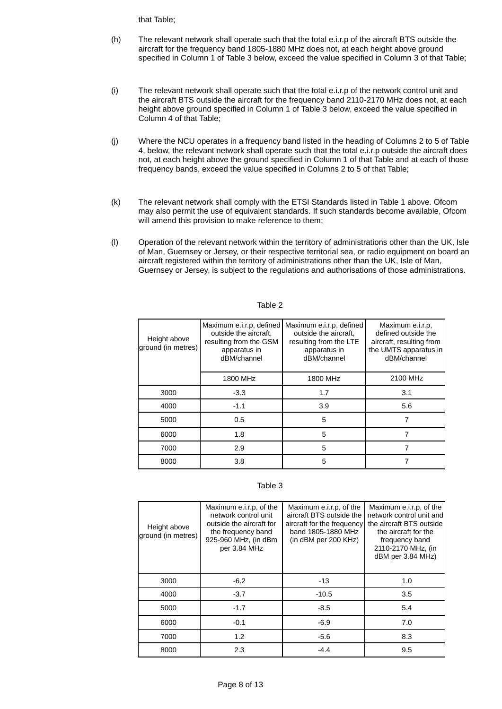that Table;

- (h) The relevant network shall operate such that the total e.i.r.p of the aircraft BTS outside the aircraft for the frequency band 1805-1880 MHz does not, at each height above ground specified in Column 1 of Table 3 below, exceed the value specified in Column 3 of that Table;
- (i) The relevant network shall operate such that the total e.i.r.p of the network control unit and the aircraft BTS outside the aircraft for the frequency band 2110-2170 MHz does not, at each height above ground specified in Column 1 of Table 3 below, exceed the value specified in Column 4 of that Table;
- (j) Where the NCU operates in a frequency band listed in the heading of Columns 2 to 5 of Table 4, below, the relevant network shall operate such that the total e.i.r.p outside the aircraft does not, at each height above the ground specified in Column 1 of that Table and at each of those frequency bands, exceed the value specified in Columns 2 to 5 of that Table;
- (k) The relevant network shall comply with the ETSI Standards listed in Table 1 above. Ofcom may also permit the use of equivalent standards. If such standards become available, Ofcom will amend this provision to make reference to them;
- (l) Operation of the relevant network within the territory of administrations other than the UK, Isle of Man, Guernsey or Jersey, or their respective territorial sea, or radio equipment on board an aircraft registered within the territory of administrations other than the UK, Isle of Man, Guernsey or Jersey, is subject to the regulations and authorisations of those administrations.

| Height above<br>ground (in metres) | Maximum e.i.r.p, defined<br>outside the aircraft.<br>resulting from the GSM<br>apparatus in<br>dBM/channel |          | Maximum e.i.r.p.<br>defined outside the<br>aircraft, resulting from<br>the UMTS apparatus in<br>dBM/channel |
|------------------------------------|------------------------------------------------------------------------------------------------------------|----------|-------------------------------------------------------------------------------------------------------------|
|                                    | 1800 MHz                                                                                                   | 1800 MHz | 2100 MHz                                                                                                    |
| 3000                               | $-3.3$                                                                                                     | 1.7      | 3.1                                                                                                         |
| 4000                               | $-1.1$                                                                                                     | 3.9      | 5.6                                                                                                         |
| 5000                               | 0.5                                                                                                        | 5        | 7                                                                                                           |
| 6000                               | 1.8                                                                                                        | 5        |                                                                                                             |
| 7000                               | 2.9                                                                                                        | 5        |                                                                                                             |
| 8000                               | 3.8                                                                                                        | 5        |                                                                                                             |

#### Table 2

#### Table 3

| Height above<br>ground (in metres) | Maximum e.i.r.p, of the<br>network control unit<br>outside the aircraft for<br>the frequency band<br>925-960 MHz, (in dBm<br>per 3.84 MHz | Maximum e.i.r.p, of the<br>aircraft BTS outside the<br>aircraft for the frequency<br>band 1805-1880 MHz<br>$(in$ dBM per 200 KHz $)$ | Maximum e.i.r.p. of the<br>network control unit and<br>the aircraft BTS outside<br>the aircraft for the<br>frequency band<br>2110-2170 MHz, (in<br>dBM per 3.84 MHz) |
|------------------------------------|-------------------------------------------------------------------------------------------------------------------------------------------|--------------------------------------------------------------------------------------------------------------------------------------|----------------------------------------------------------------------------------------------------------------------------------------------------------------------|
| 3000                               | $-6.2$                                                                                                                                    | $-13$                                                                                                                                | 1.0                                                                                                                                                                  |
| 4000                               | $-3.7$                                                                                                                                    | $-10.5$                                                                                                                              | 3.5                                                                                                                                                                  |
| 5000                               | $-1.7$                                                                                                                                    | $-8.5$                                                                                                                               | 5.4                                                                                                                                                                  |
| 6000                               | $-0.1$                                                                                                                                    | $-6.9$                                                                                                                               | 7.0                                                                                                                                                                  |
| 7000                               | 1.2                                                                                                                                       | $-5.6$                                                                                                                               | 8.3                                                                                                                                                                  |
| 8000                               | 2.3                                                                                                                                       | $-4.4$                                                                                                                               | 9.5                                                                                                                                                                  |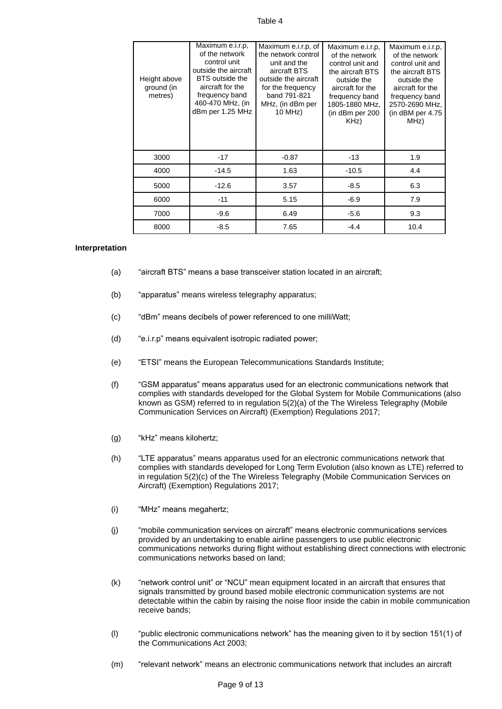#### Table 4

| Height above<br>ground (in<br>metres) | Maximum e.i.r.p,<br>of the network<br>control unit<br>outside the aircraft<br>BTS outside the<br>aircraft for the<br>frequency band<br>460-470 MHz, (in<br>dBm per 1.25 MHz | Maximum e.i.r.p, of<br>the network control<br>unit and the<br>aircraft BTS<br>outside the aircraft<br>for the frequency<br>band 791-821<br>MHz, (in dBm per<br>10 MHz) | Maximum e.i.r.p.<br>of the network<br>control unit and<br>the aircraft BTS<br>outside the<br>aircraft for the<br>frequency band<br>1805-1880 MHz,<br>(in dBm per 200<br>KHz) | Maximum e.i.r.p.<br>of the network<br>control unit and<br>the aircraft BTS<br>outside the<br>aircraft for the<br>frequency band<br>2570-2690 MHz,<br>(in dBM per $4.75$<br>MHz) |
|---------------------------------------|-----------------------------------------------------------------------------------------------------------------------------------------------------------------------------|------------------------------------------------------------------------------------------------------------------------------------------------------------------------|------------------------------------------------------------------------------------------------------------------------------------------------------------------------------|---------------------------------------------------------------------------------------------------------------------------------------------------------------------------------|
| 3000                                  | $-17$                                                                                                                                                                       | $-0.87$                                                                                                                                                                | $-13$                                                                                                                                                                        | 1.9                                                                                                                                                                             |
| 4000                                  | $-14.5$                                                                                                                                                                     | 1.63                                                                                                                                                                   | $-10.5$                                                                                                                                                                      | 4.4                                                                                                                                                                             |
| 5000                                  | $-12.6$                                                                                                                                                                     | 3.57                                                                                                                                                                   | $-8.5$                                                                                                                                                                       | 6.3                                                                                                                                                                             |
| 6000                                  | $-11$                                                                                                                                                                       | 5.15                                                                                                                                                                   | $-6.9$                                                                                                                                                                       | 7.9                                                                                                                                                                             |
| 7000                                  | $-9.6$                                                                                                                                                                      | 6.49                                                                                                                                                                   | $-5.6$                                                                                                                                                                       | 9.3                                                                                                                                                                             |
| 8000                                  | $-8.5$                                                                                                                                                                      | 7.65                                                                                                                                                                   | $-4.4$                                                                                                                                                                       | 10.4                                                                                                                                                                            |

#### **Interpretation**

- "aircraft BTS" means a base transceiver station located in an aircraft; (a)
- (b) "apparatus" means wireless telegraphy apparatus;
- (c) "dBm" means decibels of power referenced to one milliWatt;
- (d) "e.i.r.p" means equivalent isotropic radiated power;
- (e) "ETSI" means the European Telecommunications Standards Institute;
- (f) "GSM apparatus" means apparatus used for an electronic communications network that complies with standards developed for the Global System for Mobile Communications (also known as GSM) referred to in regulation 5(2)(a) of the The Wireless Telegraphy (Mobile Communication Services on Aircraft) (Exemption) Regulations 2017;
- (g) "kHz" means kilohertz;
- (h) "LTE apparatus" means apparatus used for an electronic communications network that complies with standards developed for Long Term Evolution (also known as LTE) referred to in regulation 5(2)(c) of the The Wireless Telegraphy (Mobile Communication Services on Aircraft) (Exemption) Regulations 2017;
- (i) "MHz" means megahertz;
- (j) "mobile communication services on aircraft" means electronic communications services provided by an undertaking to enable airline passengers to use public electronic communications networks during flight without establishing direct connections with electronic communications networks based on land;
- (k) "network control unit" or "NCU" mean equipment located in an aircraft that ensures that signals transmitted by ground based mobile electronic communication systems are not detectable within the cabin by raising the noise floor inside the cabin in mobile communication receive bands;
- (l) "public electronic communications network" has the meaning given to it by section 151(1) of the Communications Act 2003;
- (m) "relevant network" means an electronic communications network that includes an aircraft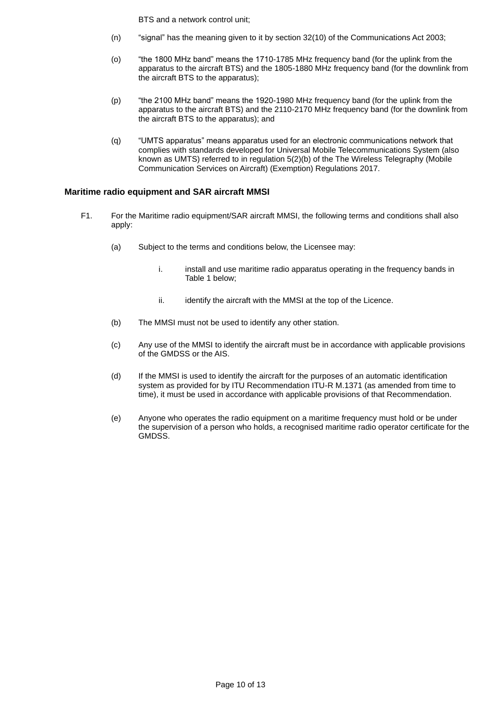BTS and a network control unit;

- (n) "signal" has the meaning given to it by section 32(10) of the Communications Act 2003;
- (o) "the 1800 MHz band" means the 1710-1785 MHz frequency band (for the uplink from the apparatus to the aircraft BTS) and the 1805-1880 MHz frequency band (for the downlink from the aircraft BTS to the apparatus);
- (p) "the 2100 MHz band" means the 1920-1980 MHz frequency band (for the uplink from the apparatus to the aircraft BTS) and the 2110-2170 MHz frequency band (for the downlink from the aircraft BTS to the apparatus); and
- (q) "UMTS apparatus" means apparatus used for an electronic communications network that complies with standards developed for Universal Mobile Telecommunications System (also known as UMTS) referred to in regulation 5(2)(b) of the The Wireless Telegraphy (Mobile Communication Services on Aircraft) (Exemption) Regulations 2017.

# **Maritime radio equipment and SAR aircraft MMSI**

- For the Maritime radio equipment/SAR aircraft MMSI, the following terms and conditions shall also apply: F1.
	- Subject to the terms and conditions below, the Licensee may: (a)
		- install and use maritime radio apparatus operating in the frequency bands in Table 1 below; i.
		- ii. identify the aircraft with the MMSI at the top of the Licence.
	- (b) The MMSI must not be used to identify any other station.
	- (c) Any use of the MMSI to identify the aircraft must be in accordance with applicable provisions of the GMDSS or the AIS.
	- (d) If the MMSI is used to identify the aircraft for the purposes of an automatic identification system as provided for by ITU Recommendation ITU-R M.1371 (as amended from time to time), it must be used in accordance with applicable provisions of that Recommendation.
	- (e) Anyone who operates the radio equipment on a maritime frequency must hold or be under the supervision of a person who holds, a recognised maritime radio operator certificate for the GMDSS.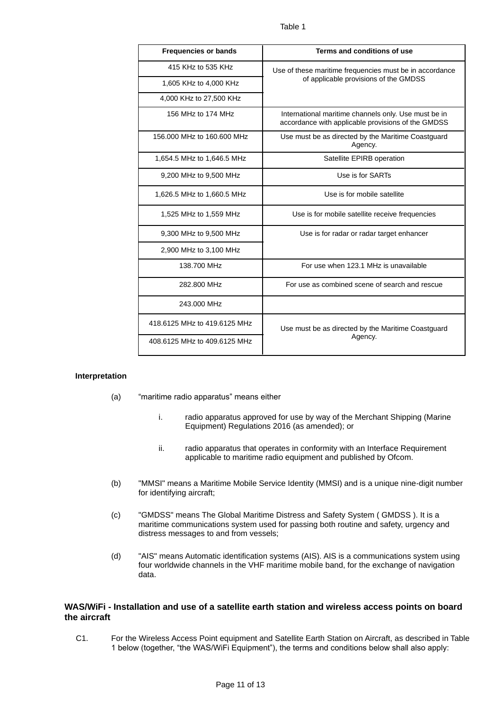| <b>Frequencies or bands</b>  | Terms and conditions of use                                                                                |  |
|------------------------------|------------------------------------------------------------------------------------------------------------|--|
| 415 KHz to 535 KHz           | Use of these maritime frequencies must be in accordance                                                    |  |
| 1,605 KHz to 4,000 KHz       | of applicable provisions of the GMDSS                                                                      |  |
| 4,000 KHz to 27,500 KHz      |                                                                                                            |  |
| 156 MHz to 174 MHz           | International maritime channels only. Use must be in<br>accordance with applicable provisions of the GMDSS |  |
| 156,000 MHz to 160,600 MHz   | Use must be as directed by the Maritime Coastguard<br>Agency.                                              |  |
| 1,654.5 MHz to 1,646.5 MHz   | Satellite EPIRB operation                                                                                  |  |
| 9,200 MHz to 9,500 MHz       | Use is for SARTs                                                                                           |  |
| 1,626.5 MHz to 1,660.5 MHz   | Use is for mobile satellite                                                                                |  |
| 1,525 MHz to 1,559 MHz       | Use is for mobile satellite receive frequencies                                                            |  |
| 9,300 MHz to 9,500 MHz       | Use is for radar or radar target enhancer                                                                  |  |
| 2,900 MHz to 3,100 MHz       |                                                                                                            |  |
| 138,700 MHz                  | For use when 123.1 MHz is unavailable                                                                      |  |
| 282.800 MHz                  | For use as combined scene of search and rescue                                                             |  |
| 243,000 MHz                  |                                                                                                            |  |
| 418.6125 MHz to 419.6125 MHz | Use must be as directed by the Maritime Coastguard                                                         |  |
| 408.6125 MHz to 409.6125 MHz | Agency.                                                                                                    |  |

- "maritime radio apparatus" means either (a)
	- radio apparatus approved for use by way of the Merchant Shipping (Marine Equipment) Regulations 2016 (as amended); or i.
	- ii. radio apparatus that operates in conformity with an Interface Requirement applicable to maritime radio equipment and published by Ofcom.
- (b) "MMSI" means a Maritime Mobile Service Identity (MMSI) and is a unique nine-digit number for identifying aircraft;
- (c) "GMDSS" means The Global Maritime Distress and Safety System ( GMDSS ). It is a maritime communications system used for passing both routine and safety, urgency and distress messages to and from vessels;
- (d) "AIS" means Automatic identification systems (AIS). AIS is a communications system using four worldwide channels in the VHF maritime mobile band, for the exchange of navigation data.

## **WAS/WiFi - Installation and use of a satellite earth station and wireless access points on board the aircraft**

For the Wireless Access Point equipment and Satellite Earth Station on Aircraft, as described in Table 1 below (together, "the WAS/WiFi Equipment"), the terms and conditions below shall also apply: C1.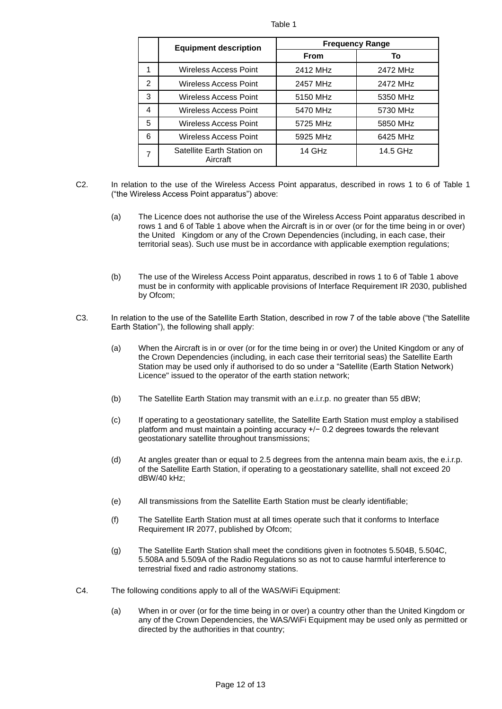| п.<br>., |  |
|----------|--|
|          |  |

|                | <b>Equipment description</b>           | <b>Frequency Range</b> |          |  |
|----------------|----------------------------------------|------------------------|----------|--|
|                |                                        | <b>From</b>            | То       |  |
|                | Wireless Access Point                  | 2412 MHz               | 2472 MHz |  |
| $\mathfrak{p}$ | Wireless Access Point                  | 2457 MHz               | 2472 MHz |  |
| 3              | Wireless Access Point                  | 5150 MHz               | 5350 MHz |  |
| 4              | Wireless Access Point                  | 5470 MHz               | 5730 MHz |  |
| 5              | Wireless Access Point                  | 5725 MHz               | 5850 MHz |  |
| 6              | <b>Wireless Access Point</b>           | 5925 MHz               | 6425 MHz |  |
|                | Satellite Earth Station on<br>Aircraft | 14 GHz                 | 14.5 GHz |  |

- In relation to the use of the Wireless Access Point apparatus, described in rows 1 to 6 of Table 1 ("the Wireless Access Point apparatus") above: C2.
	- The Licence does not authorise the use of the Wireless Access Point apparatus described in rows 1 and 6 of Table 1 above when the Aircraft is in or over (or for the time being in or over) the United Kingdom or any of the Crown Dependencies (including, in each case, their territorial seas). Such use must be in accordance with applicable exemption regulations; (a)
	- (b) The use of the Wireless Access Point apparatus, described in rows 1 to 6 of Table 1 above must be in conformity with applicable provisions of Interface Requirement IR 2030, published by Ofcom;
- In relation to the use of the Satellite Earth Station, described in row 7 of the table above ("the Satellite Earth Station"), the following shall apply: C3.
	- When the Aircraft is in or over (or for the time being in or over) the United Kingdom or any of the Crown Dependencies (including, in each case their territorial seas) the Satellite Earth Station may be used only if authorised to do so under a "Satellite (Earth Station Network) Licence" issued to the operator of the earth station network; (a)
	- (b) The Satellite Earth Station may transmit with an e.i.r.p. no greater than 55 dBW;
	- (c) If operating to a geostationary satellite, the Satellite Earth Station must employ a stabilised platform and must maintain a pointing accuracy +/− 0.2 degrees towards the relevant geostationary satellite throughout transmissions;
	- (d) At angles greater than or equal to 2.5 degrees from the antenna main beam axis, the e.i.r.p. of the Satellite Earth Station, if operating to a geostationary satellite, shall not exceed 20 dBW/40 kHz;
	- (e) All transmissions from the Satellite Earth Station must be clearly identifiable;
	- (f) The Satellite Earth Station must at all times operate such that it conforms to Interface Requirement IR 2077, published by Ofcom;
	- (g) The Satellite Earth Station shall meet the conditions given in footnotes 5.504B, 5.504C, 5.508A and 5.509A of the Radio Regulations so as not to cause harmful interference to terrestrial fixed and radio astronomy stations.
- The following conditions apply to all of the WAS/WiFi Equipment: C4.
	- When in or over (or for the time being in or over) a country other than the United Kingdom or any of the Crown Dependencies, the WAS/WiFi Equipment may be used only as permitted or directed by the authorities in that country; (a)